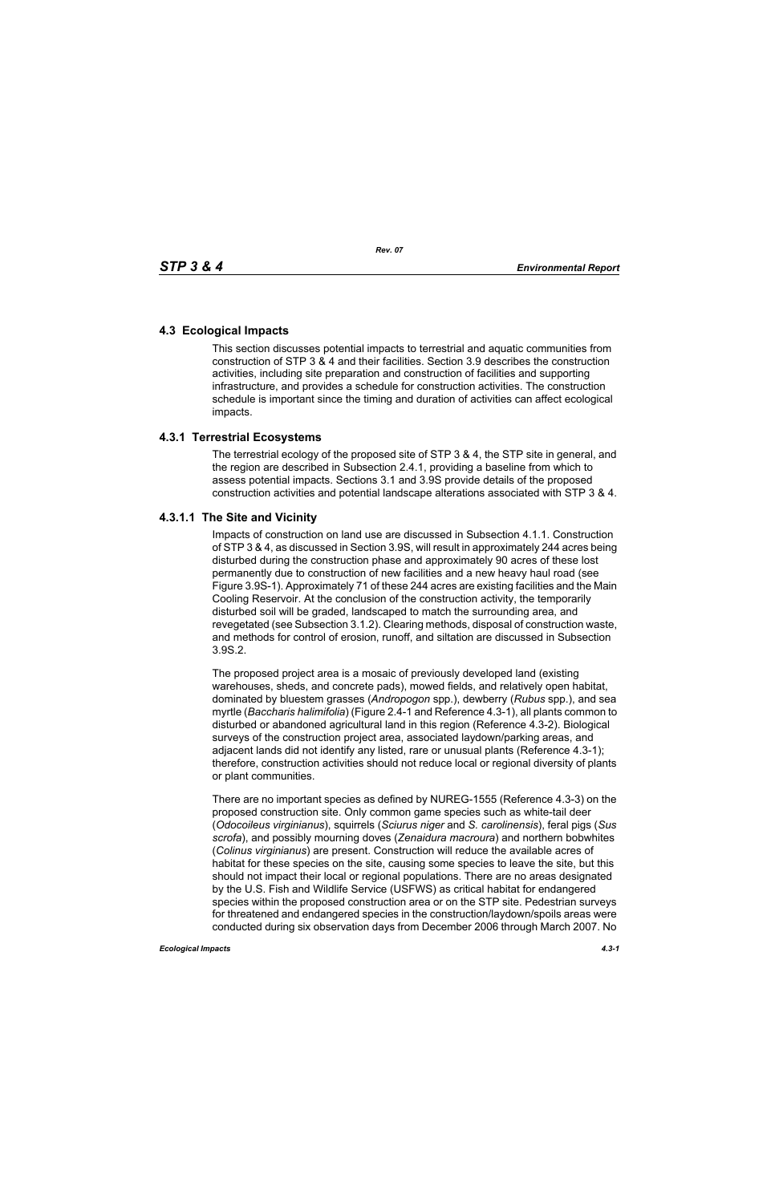## **4.3 Ecological Impacts**

This section discusses potential impacts to terrestrial and aquatic communities from construction of STP 3 & 4 and their facilities. Section 3.9 describes the construction activities, including site preparation and construction of facilities and supporting infrastructure, and provides a schedule for construction activities. The construction schedule is important since the timing and duration of activities can affect ecological impacts.

## **4.3.1 Terrestrial Ecosystems**

The terrestrial ecology of the proposed site of STP 3 & 4, the STP site in general, and the region are described in Subsection 2.4.1, providing a baseline from which to assess potential impacts. Sections 3.1 and 3.9S provide details of the proposed construction activities and potential landscape alterations associated with STP 3 & 4.

## **4.3.1.1 The Site and Vicinity**

Impacts of construction on land use are discussed in Subsection 4.1.1. Construction of STP 3 & 4, as discussed in Section 3.9S, will result in approximately 244 acres being disturbed during the construction phase and approximately 90 acres of these lost permanently due to construction of new facilities and a new heavy haul road (see Figure 3.9S-1). Approximately 71 of these 244 acres are existing facilities and the Main Cooling Reservoir. At the conclusion of the construction activity, the temporarily disturbed soil will be graded, landscaped to match the surrounding area, and revegetated (see Subsection 3.1.2). Clearing methods, disposal of construction waste, and methods for control of erosion, runoff, and siltation are discussed in Subsection 3.9S.2.

The proposed project area is a mosaic of previously developed land (existing warehouses, sheds, and concrete pads), mowed fields, and relatively open habitat, dominated by bluestem grasses (*Andropogon* spp.), dewberry (*Rubus* spp.), and sea myrtle (*Baccharis halimifolia*) (Figure 2.4-1 and Reference 4.3-1), all plants common to disturbed or abandoned agricultural land in this region (Reference 4.3-2). Biological surveys of the construction project area, associated laydown/parking areas, and adjacent lands did not identify any listed, rare or unusual plants (Reference 4.3-1); therefore, construction activities should not reduce local or regional diversity of plants or plant communities.

There are no important species as defined by NUREG-1555 (Reference 4.3-3) on the proposed construction site. Only common game species such as white-tail deer (*Odocoileus virginianus*), squirrels (*Sciurus niger* and *S. carolinensis*), feral pigs (*Sus scrofa*), and possibly mourning doves (*Zenaidura macroura*) and northern bobwhites (*Colinus virginianus*) are present. Construction will reduce the available acres of habitat for these species on the site, causing some species to leave the site, but this should not impact their local or regional populations. There are no areas designated by the U.S. Fish and Wildlife Service (USFWS) as critical habitat for endangered species within the proposed construction area or on the STP site. Pedestrian surveys for threatened and endangered species in the construction/laydown/spoils areas were conducted during six observation days from December 2006 through March 2007. No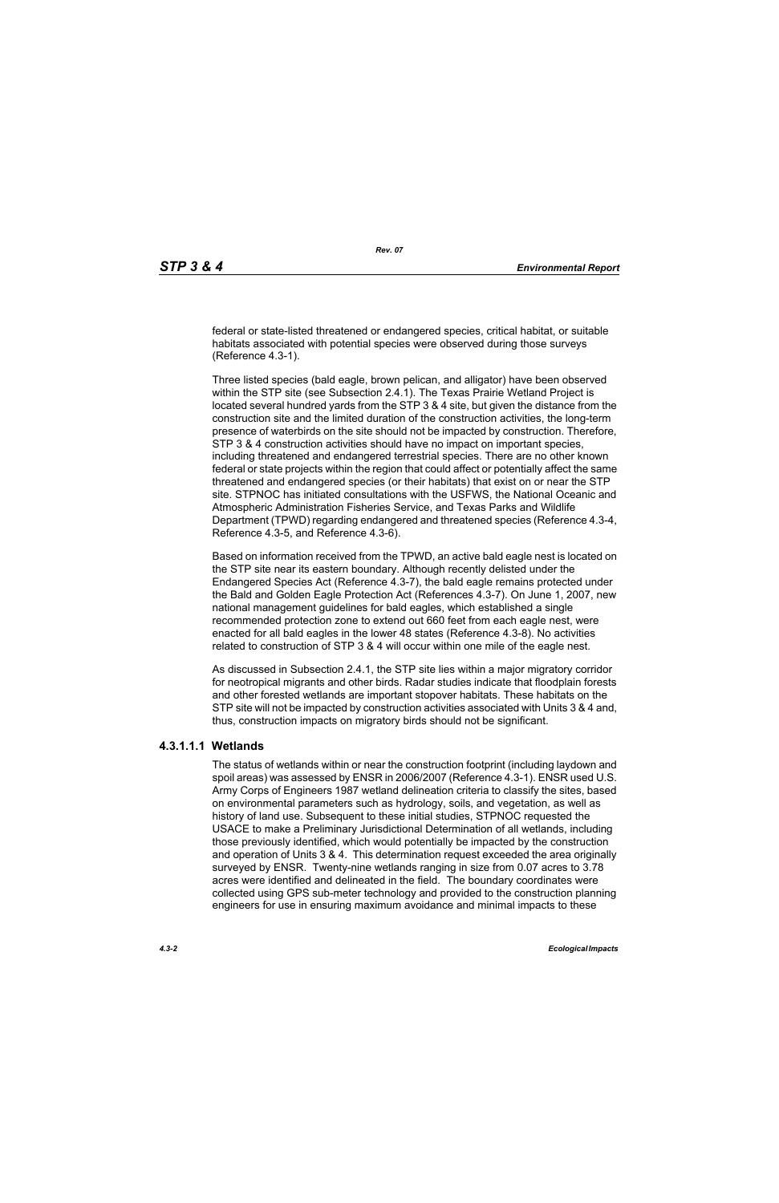federal or state-listed threatened or endangered species, critical habitat, or suitable habitats associated with potential species were observed during those surveys (Reference 4.3-1).

Three listed species (bald eagle, brown pelican, and alligator) have been observed within the STP site (see Subsection 2.4.1). The Texas Prairie Wetland Project is located several hundred yards from the STP 3 & 4 site, but given the distance from the construction site and the limited duration of the construction activities, the long-term presence of waterbirds on the site should not be impacted by construction. Therefore, STP 3 & 4 construction activities should have no impact on important species, including threatened and endangered terrestrial species. There are no other known federal or state projects within the region that could affect or potentially affect the same threatened and endangered species (or their habitats) that exist on or near the STP site. STPNOC has initiated consultations with the USFWS, the National Oceanic and Atmospheric Administration Fisheries Service, and Texas Parks and Wildlife Department (TPWD) regarding endangered and threatened species (Reference 4.3-4, Reference 4.3-5, and Reference 4.3-6).

Based on information received from the TPWD, an active bald eagle nest is located on the STP site near its eastern boundary. Although recently delisted under the Endangered Species Act (Reference 4.3-7), the bald eagle remains protected under the Bald and Golden Eagle Protection Act (References 4.3-7). On June 1, 2007, new national management guidelines for bald eagles, which established a single recommended protection zone to extend out 660 feet from each eagle nest, were enacted for all bald eagles in the lower 48 states (Reference 4.3-8). No activities related to construction of STP 3 & 4 will occur within one mile of the eagle nest.

As discussed in Subsection 2.4.1, the STP site lies within a major migratory corridor for neotropical migrants and other birds. Radar studies indicate that floodplain forests and other forested wetlands are important stopover habitats. These habitats on the STP site will not be impacted by construction activities associated with Units 3 & 4 and, thus, construction impacts on migratory birds should not be significant.

# **4.3.1.1.1 Wetlands**

The status of wetlands within or near the construction footprint (including laydown and spoil areas) was assessed by ENSR in 2006/2007 (Reference 4.3-1). ENSR used U.S. Army Corps of Engineers 1987 wetland delineation criteria to classify the sites, based on environmental parameters such as hydrology, soils, and vegetation, as well as history of land use. Subsequent to these initial studies, STPNOC requested the USACE to make a Preliminary Jurisdictional Determination of all wetlands, including those previously identified, which would potentially be impacted by the construction and operation of Units 3 & 4. This determination request exceeded the area originally surveyed by ENSR. Twenty-nine wetlands ranging in size from 0.07 acres to 3.78 acres were identified and delineated in the field. The boundary coordinates were collected using GPS sub-meter technology and provided to the construction planning engineers for use in ensuring maximum avoidance and minimal impacts to these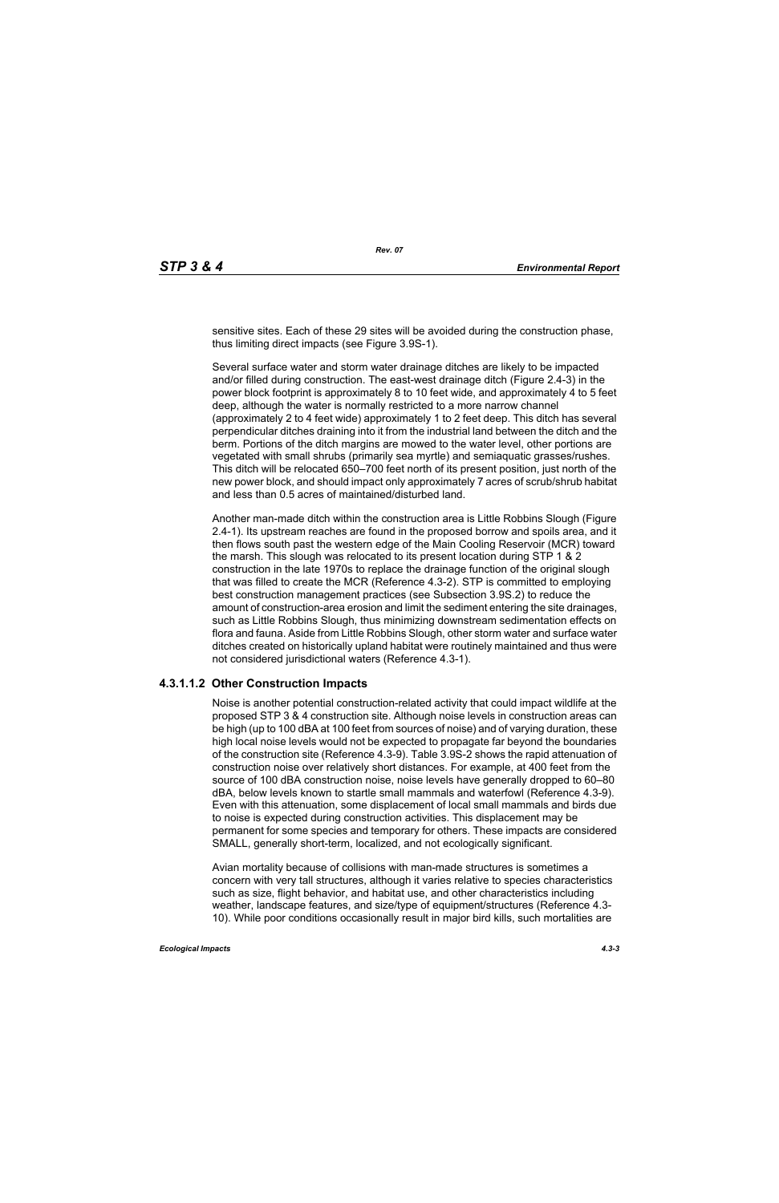sensitive sites. Each of these 29 sites will be avoided during the construction phase, thus limiting direct impacts (see Figure 3.9S-1).

Several surface water and storm water drainage ditches are likely to be impacted and/or filled during construction. The east-west drainage ditch (Figure 2.4-3) in the power block footprint is approximately 8 to 10 feet wide, and approximately 4 to 5 feet deep, although the water is normally restricted to a more narrow channel (approximately 2 to 4 feet wide) approximately 1 to 2 feet deep. This ditch has several perpendicular ditches draining into it from the industrial land between the ditch and the berm. Portions of the ditch margins are mowed to the water level, other portions are vegetated with small shrubs (primarily sea myrtle) and semiaquatic grasses/rushes. This ditch will be relocated 650–700 feet north of its present position, just north of the new power block, and should impact only approximately 7 acres of scrub/shrub habitat and less than 0.5 acres of maintained/disturbed land.

Another man-made ditch within the construction area is Little Robbins Slough (Figure 2.4-1). Its upstream reaches are found in the proposed borrow and spoils area, and it then flows south past the western edge of the Main Cooling Reservoir (MCR) toward the marsh. This slough was relocated to its present location during STP 1 & 2 construction in the late 1970s to replace the drainage function of the original slough that was filled to create the MCR (Reference 4.3-2). STP is committed to employing best construction management practices (see Subsection 3.9S.2) to reduce the amount of construction-area erosion and limit the sediment entering the site drainages, such as Little Robbins Slough, thus minimizing downstream sedimentation effects on flora and fauna. Aside from Little Robbins Slough, other storm water and surface water ditches created on historically upland habitat were routinely maintained and thus were not considered jurisdictional waters (Reference 4.3-1).

#### **4.3.1.1.2 Other Construction Impacts**

Noise is another potential construction-related activity that could impact wildlife at the proposed STP 3 & 4 construction site. Although noise levels in construction areas can be high (up to 100 dBA at 100 feet from sources of noise) and of varying duration, these high local noise levels would not be expected to propagate far beyond the boundaries of the construction site (Reference 4.3-9). Table 3.9S-2 shows the rapid attenuation of construction noise over relatively short distances. For example, at 400 feet from the source of 100 dBA construction noise, noise levels have generally dropped to 60–80 dBA, below levels known to startle small mammals and waterfowl (Reference 4.3-9). Even with this attenuation, some displacement of local small mammals and birds due to noise is expected during construction activities. This displacement may be permanent for some species and temporary for others. These impacts are considered SMALL, generally short-term, localized, and not ecologically significant.

Avian mortality because of collisions with man-made structures is sometimes a concern with very tall structures, although it varies relative to species characteristics such as size, flight behavior, and habitat use, and other characteristics including weather, landscape features, and size/type of equipment/structures (Reference 4.3- 10). While poor conditions occasionally result in major bird kills, such mortalities are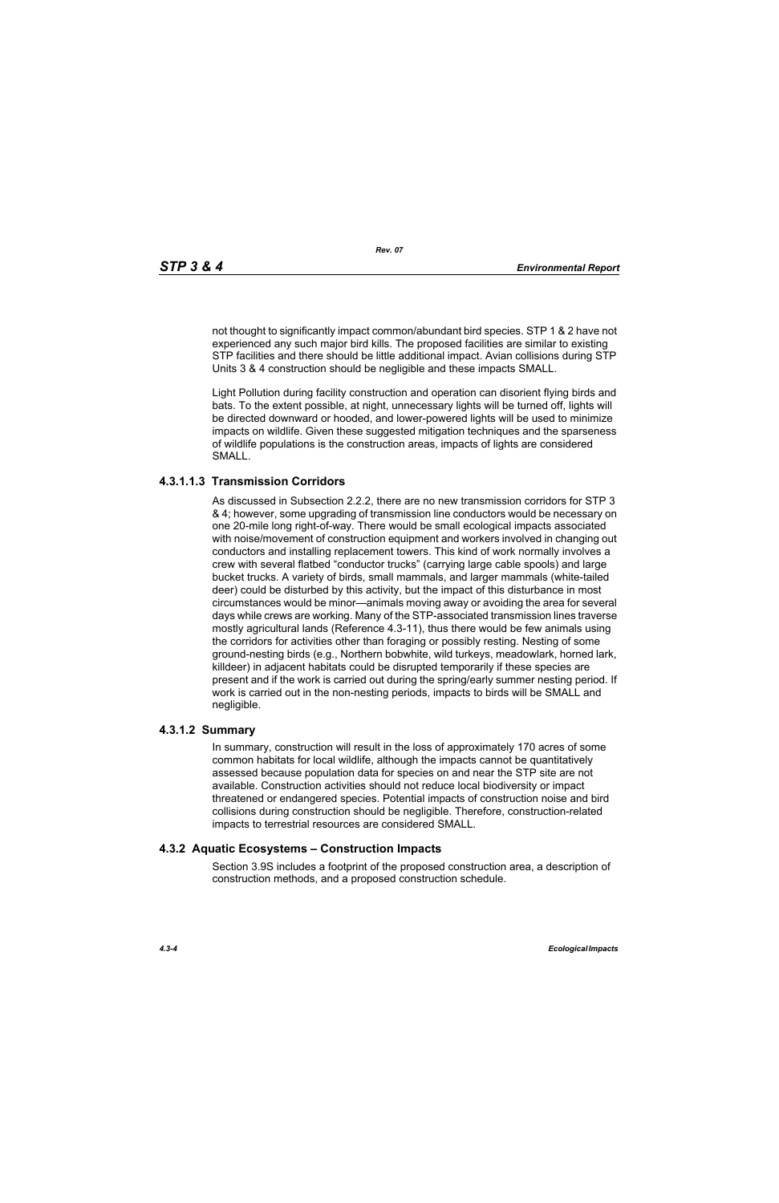not thought to significantly impact common/abundant bird species. STP 1 & 2 have not experienced any such major bird kills. The proposed facilities are similar to existing STP facilities and there should be little additional impact. Avian collisions during STP Units 3 & 4 construction should be negligible and these impacts SMALL.

Light Pollution during facility construction and operation can disorient flying birds and bats. To the extent possible, at night, unnecessary lights will be turned off, lights will be directed downward or hooded, and lower-powered lights will be used to minimize impacts on wildlife. Given these suggested mitigation techniques and the sparseness of wildlife populations is the construction areas, impacts of lights are considered SMALL.

### **4.3.1.1.3 Transmission Corridors**

As discussed in Subsection 2.2.2, there are no new transmission corridors for STP 3 & 4; however, some upgrading of transmission line conductors would be necessary on one 20-mile long right-of-way. There would be small ecological impacts associated with noise/movement of construction equipment and workers involved in changing out conductors and installing replacement towers. This kind of work normally involves a crew with several flatbed "conductor trucks" (carrying large cable spools) and large bucket trucks. A variety of birds, small mammals, and larger mammals (white-tailed deer) could be disturbed by this activity, but the impact of this disturbance in most circumstances would be minor—animals moving away or avoiding the area for several days while crews are working. Many of the STP-associated transmission lines traverse mostly agricultural lands (Reference 4.3-11), thus there would be few animals using the corridors for activities other than foraging or possibly resting. Nesting of some ground-nesting birds (e.g., Northern bobwhite, wild turkeys, meadowlark, horned lark, killdeer) in adjacent habitats could be disrupted temporarily if these species are present and if the work is carried out during the spring/early summer nesting period. If work is carried out in the non-nesting periods, impacts to birds will be SMALL and negligible.

#### **4.3.1.2 Summary**

In summary, construction will result in the loss of approximately 170 acres of some common habitats for local wildlife, although the impacts cannot be quantitatively assessed because population data for species on and near the STP site are not available. Construction activities should not reduce local biodiversity or impact threatened or endangered species. Potential impacts of construction noise and bird collisions during construction should be negligible. Therefore, construction-related impacts to terrestrial resources are considered SMALL.

#### **4.3.2 Aquatic Ecosystems – Construction Impacts**

Section 3.9S includes a footprint of the proposed construction area, a description of construction methods, and a proposed construction schedule.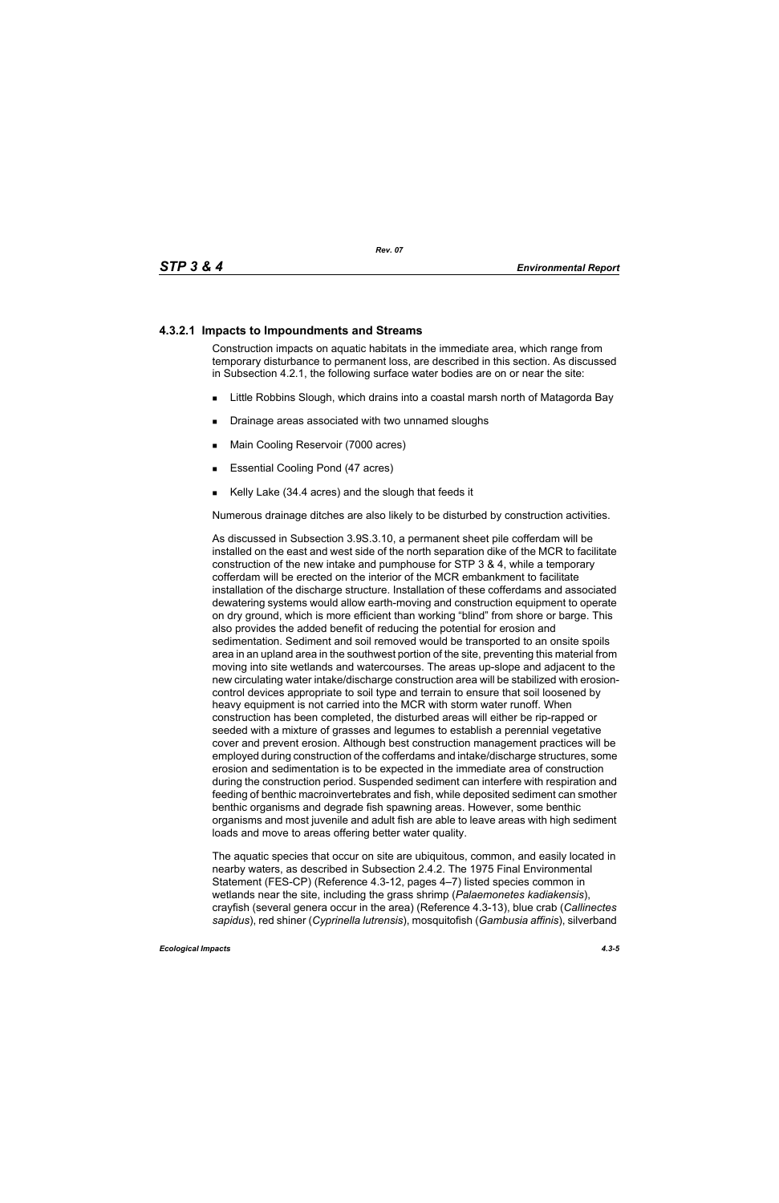## **4.3.2.1 Impacts to Impoundments and Streams**

Construction impacts on aquatic habitats in the immediate area, which range from temporary disturbance to permanent loss, are described in this section. As discussed in Subsection 4.2.1, the following surface water bodies are on or near the site:

- **EXALLET A** Little Robbins Slough, which drains into a coastal marsh north of Matagorda Bay
- **Drainage areas associated with two unnamed sloughs**
- **Main Cooling Reservoir (7000 acres)**
- **Essential Cooling Pond (47 acres)**
- Kelly Lake (34.4 acres) and the slough that feeds it

Numerous drainage ditches are also likely to be disturbed by construction activities.

As discussed in Subsection 3.9S.3.10, a permanent sheet pile cofferdam will be installed on the east and west side of the north separation dike of the MCR to facilitate construction of the new intake and pumphouse for STP 3 & 4, while a temporary cofferdam will be erected on the interior of the MCR embankment to facilitate installation of the discharge structure. Installation of these cofferdams and associated dewatering systems would allow earth-moving and construction equipment to operate on dry ground, which is more efficient than working "blind" from shore or barge. This also provides the added benefit of reducing the potential for erosion and sedimentation. Sediment and soil removed would be transported to an onsite spoils area in an upland area in the southwest portion of the site, preventing this material from moving into site wetlands and watercourses. The areas up-slope and adjacent to the new circulating water intake/discharge construction area will be stabilized with erosioncontrol devices appropriate to soil type and terrain to ensure that soil loosened by heavy equipment is not carried into the MCR with storm water runoff. When construction has been completed, the disturbed areas will either be rip-rapped or seeded with a mixture of grasses and legumes to establish a perennial vegetative cover and prevent erosion. Although best construction management practices will be employed during construction of the cofferdams and intake/discharge structures, some erosion and sedimentation is to be expected in the immediate area of construction during the construction period. Suspended sediment can interfere with respiration and feeding of benthic macroinvertebrates and fish, while deposited sediment can smother benthic organisms and degrade fish spawning areas. However, some benthic organisms and most juvenile and adult fish are able to leave areas with high sediment loads and move to areas offering better water quality.

The aquatic species that occur on site are ubiquitous, common, and easily located in nearby waters, as described in Subsection 2.4.2. The 1975 Final Environmental Statement (FES-CP) (Reference 4.3-12, pages 4–7) listed species common in wetlands near the site, including the grass shrimp (*Palaemonetes kadiakensis*), crayfish (several genera occur in the area) (Reference 4.3-13), blue crab (*Callinectes sapidus*), red shiner (*Cyprinella lutrensis*), mosquitofish (*Gambusia affinis*), silverband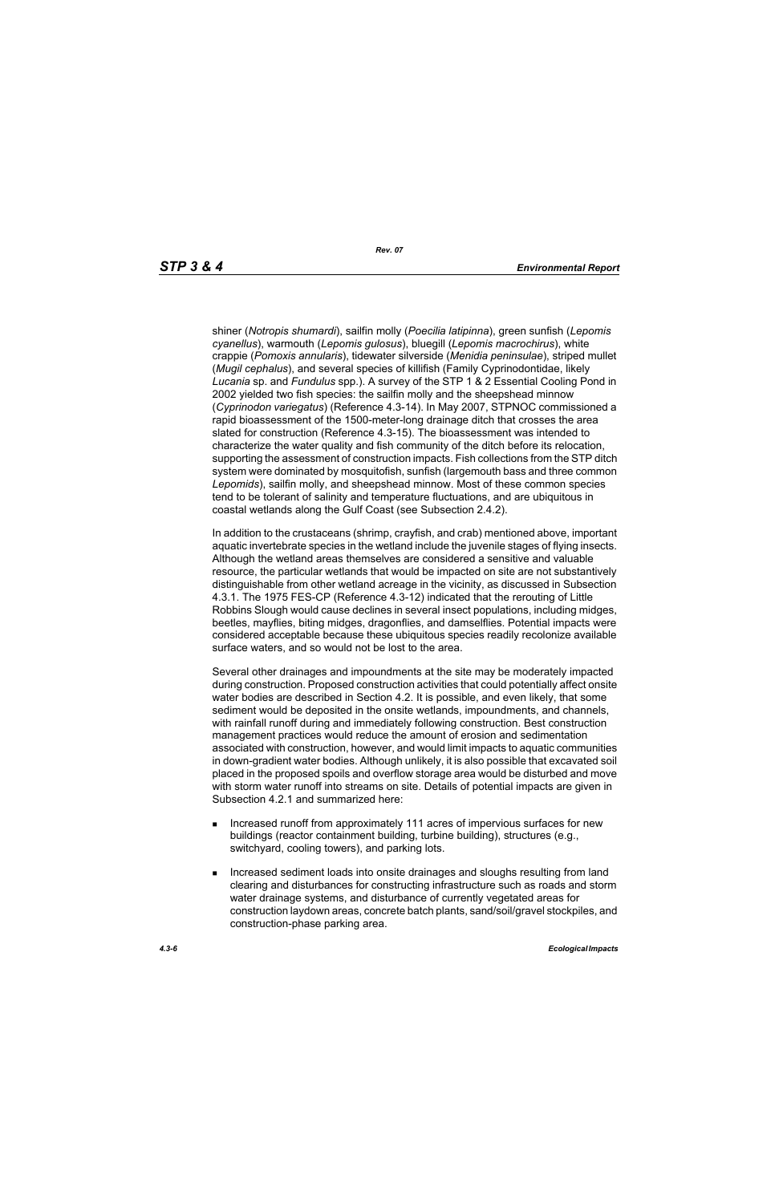shiner (*Notropis shumardi*), sailfin molly (*Poecilia latipinna*), green sunfish (*Lepomis cyanellus*), warmouth (*Lepomis gulosus*), bluegill (*Lepomis macrochirus*), white crappie (*Pomoxis annularis*), tidewater silverside (*Menidia peninsulae*), striped mullet (*Mugil cephalus*), and several species of killifish (Family Cyprinodontidae, likely *Lucania* sp. and *Fundulus* spp.). A survey of the STP 1 & 2 Essential Cooling Pond in 2002 yielded two fish species: the sailfin molly and the sheepshead minnow (*Cyprinodon variegatus*) (Reference 4.3-14). In May 2007, STPNOC commissioned a rapid bioassessment of the 1500-meter-long drainage ditch that crosses the area slated for construction (Reference 4.3-15). The bioassessment was intended to characterize the water quality and fish community of the ditch before its relocation, supporting the assessment of construction impacts. Fish collections from the STP ditch system were dominated by mosquitofish, sunfish (largemouth bass and three common *Lepomids*), sailfin molly, and sheepshead minnow. Most of these common species tend to be tolerant of salinity and temperature fluctuations, and are ubiquitous in coastal wetlands along the Gulf Coast (see Subsection 2.4.2).

In addition to the crustaceans (shrimp, crayfish, and crab) mentioned above, important aquatic invertebrate species in the wetland include the juvenile stages of flying insects. Although the wetland areas themselves are considered a sensitive and valuable resource, the particular wetlands that would be impacted on site are not substantively distinguishable from other wetland acreage in the vicinity, as discussed in Subsection 4.3.1. The 1975 FES-CP (Reference 4.3-12) indicated that the rerouting of Little Robbins Slough would cause declines in several insect populations, including midges, beetles, mayflies, biting midges, dragonflies, and damselflies. Potential impacts were considered acceptable because these ubiquitous species readily recolonize available surface waters, and so would not be lost to the area.

Several other drainages and impoundments at the site may be moderately impacted during construction. Proposed construction activities that could potentially affect onsite water bodies are described in Section 4.2. It is possible, and even likely, that some sediment would be deposited in the onsite wetlands, impoundments, and channels, with rainfall runoff during and immediately following construction. Best construction management practices would reduce the amount of erosion and sedimentation associated with construction, however, and would limit impacts to aquatic communities in down-gradient water bodies. Although unlikely, it is also possible that excavated soil placed in the proposed spoils and overflow storage area would be disturbed and move with storm water runoff into streams on site. Details of potential impacts are given in Subsection 4.2.1 and summarized here:

- **Increased runoff from approximately 111 acres of impervious surfaces for new** buildings (reactor containment building, turbine building), structures (e.g., switchyard, cooling towers), and parking lots.
- **Increased sediment loads into onsite drainages and sloughs resulting from land** clearing and disturbances for constructing infrastructure such as roads and storm water drainage systems, and disturbance of currently vegetated areas for construction laydown areas, concrete batch plants, sand/soil/gravel stockpiles, and construction-phase parking area.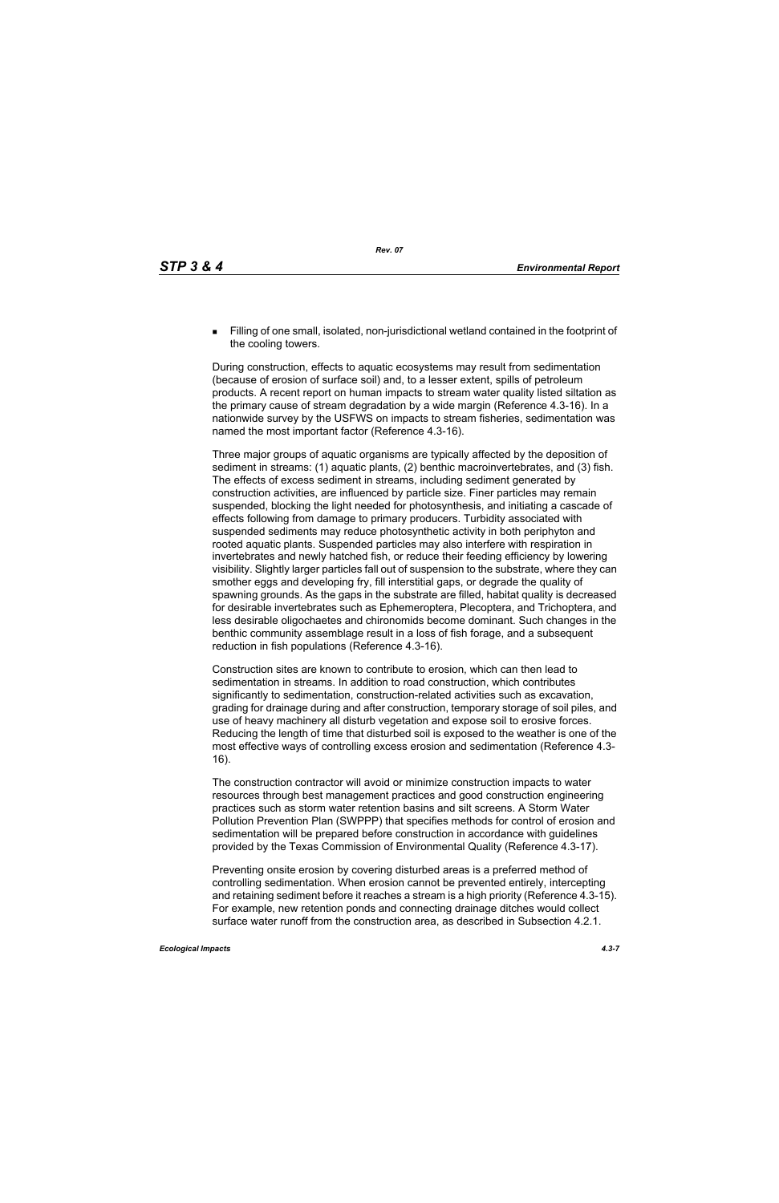Filling of one small, isolated, non-jurisdictional wetland contained in the footprint of the cooling towers.

During construction, effects to aquatic ecosystems may result from sedimentation (because of erosion of surface soil) and, to a lesser extent, spills of petroleum products. A recent report on human impacts to stream water quality listed siltation as the primary cause of stream degradation by a wide margin (Reference 4.3-16). In a nationwide survey by the USFWS on impacts to stream fisheries, sedimentation was named the most important factor (Reference 4.3-16).

Three major groups of aquatic organisms are typically affected by the deposition of sediment in streams: (1) aquatic plants, (2) benthic macroinvertebrates, and (3) fish. The effects of excess sediment in streams, including sediment generated by construction activities, are influenced by particle size. Finer particles may remain suspended, blocking the light needed for photosynthesis, and initiating a cascade of effects following from damage to primary producers. Turbidity associated with suspended sediments may reduce photosynthetic activity in both periphyton and rooted aquatic plants. Suspended particles may also interfere with respiration in invertebrates and newly hatched fish, or reduce their feeding efficiency by lowering visibility. Slightly larger particles fall out of suspension to the substrate, where they can smother eggs and developing fry, fill interstitial gaps, or degrade the quality of spawning grounds. As the gaps in the substrate are filled, habitat quality is decreased for desirable invertebrates such as Ephemeroptera, Plecoptera, and Trichoptera, and less desirable oligochaetes and chironomids become dominant. Such changes in the benthic community assemblage result in a loss of fish forage, and a subsequent reduction in fish populations (Reference 4.3-16).

Construction sites are known to contribute to erosion, which can then lead to sedimentation in streams. In addition to road construction, which contributes significantly to sedimentation, construction-related activities such as excavation, grading for drainage during and after construction, temporary storage of soil piles, and use of heavy machinery all disturb vegetation and expose soil to erosive forces. Reducing the length of time that disturbed soil is exposed to the weather is one of the most effective ways of controlling excess erosion and sedimentation (Reference 4.3- 16).

The construction contractor will avoid or minimize construction impacts to water resources through best management practices and good construction engineering practices such as storm water retention basins and silt screens. A Storm Water Pollution Prevention Plan (SWPPP) that specifies methods for control of erosion and sedimentation will be prepared before construction in accordance with guidelines provided by the Texas Commission of Environmental Quality (Reference 4.3-17).

Preventing onsite erosion by covering disturbed areas is a preferred method of controlling sedimentation. When erosion cannot be prevented entirely, intercepting and retaining sediment before it reaches a stream is a high priority (Reference 4.3-15). For example, new retention ponds and connecting drainage ditches would collect surface water runoff from the construction area, as described in Subsection 4.2.1.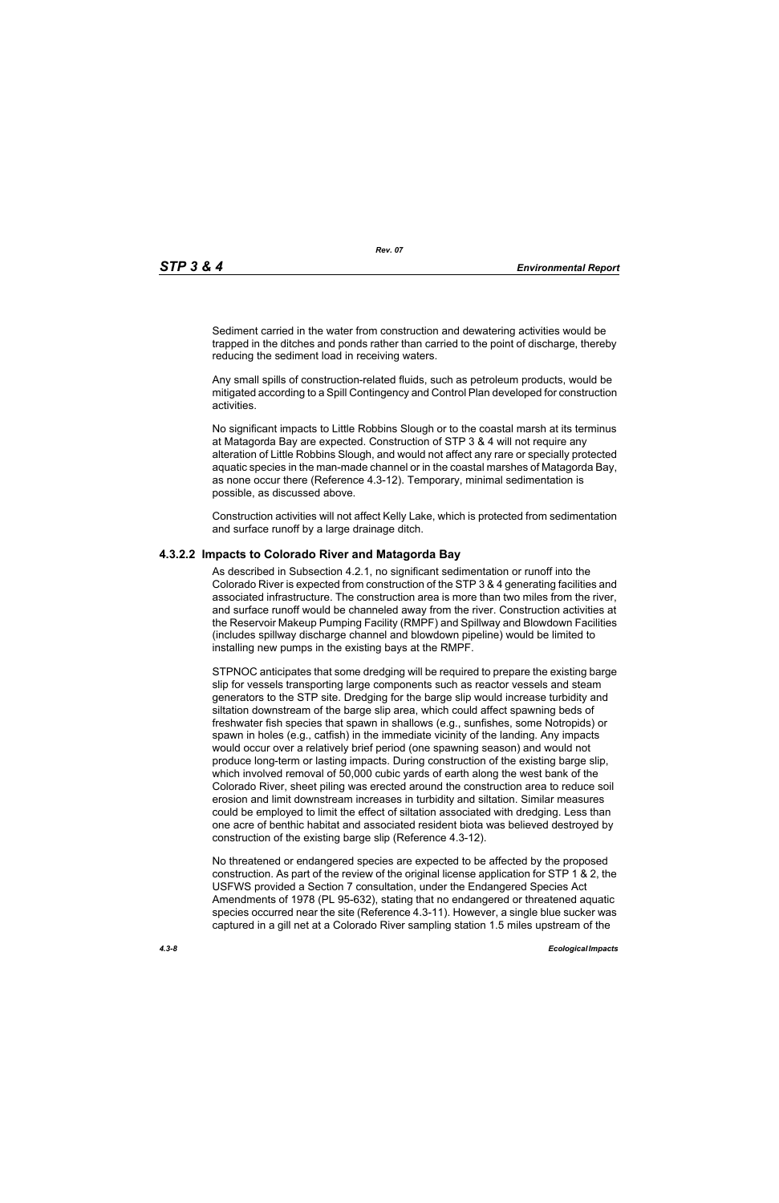Sediment carried in the water from construction and dewatering activities would be trapped in the ditches and ponds rather than carried to the point of discharge, thereby reducing the sediment load in receiving waters.

Any small spills of construction-related fluids, such as petroleum products, would be mitigated according to a Spill Contingency and Control Plan developed for construction activities.

No significant impacts to Little Robbins Slough or to the coastal marsh at its terminus at Matagorda Bay are expected. Construction of STP 3 & 4 will not require any alteration of Little Robbins Slough, and would not affect any rare or specially protected aquatic species in the man-made channel or in the coastal marshes of Matagorda Bay, as none occur there (Reference 4.3-12). Temporary, minimal sedimentation is possible, as discussed above.

Construction activities will not affect Kelly Lake, which is protected from sedimentation and surface runoff by a large drainage ditch.

#### **4.3.2.2 Impacts to Colorado River and Matagorda Bay**

As described in Subsection 4.2.1, no significant sedimentation or runoff into the Colorado River is expected from construction of the STP 3 & 4 generating facilities and associated infrastructure. The construction area is more than two miles from the river, and surface runoff would be channeled away from the river. Construction activities at the Reservoir Makeup Pumping Facility (RMPF) and Spillway and Blowdown Facilities (includes spillway discharge channel and blowdown pipeline) would be limited to installing new pumps in the existing bays at the RMPF.

STPNOC anticipates that some dredging will be required to prepare the existing barge slip for vessels transporting large components such as reactor vessels and steam generators to the STP site. Dredging for the barge slip would increase turbidity and siltation downstream of the barge slip area, which could affect spawning beds of freshwater fish species that spawn in shallows (e.g., sunfishes, some Notropids) or spawn in holes (e.g., catfish) in the immediate vicinity of the landing. Any impacts would occur over a relatively brief period (one spawning season) and would not produce long-term or lasting impacts. During construction of the existing barge slip, which involved removal of 50,000 cubic yards of earth along the west bank of the Colorado River, sheet piling was erected around the construction area to reduce soil erosion and limit downstream increases in turbidity and siltation. Similar measures could be employed to limit the effect of siltation associated with dredging. Less than one acre of benthic habitat and associated resident biota was believed destroyed by construction of the existing barge slip (Reference 4.3-12).

No threatened or endangered species are expected to be affected by the proposed construction. As part of the review of the original license application for STP 1 & 2, the USFWS provided a Section 7 consultation, under the Endangered Species Act Amendments of 1978 (PL 95-632), stating that no endangered or threatened aquatic species occurred near the site (Reference 4.3-11). However, a single blue sucker was captured in a gill net at a Colorado River sampling station 1.5 miles upstream of the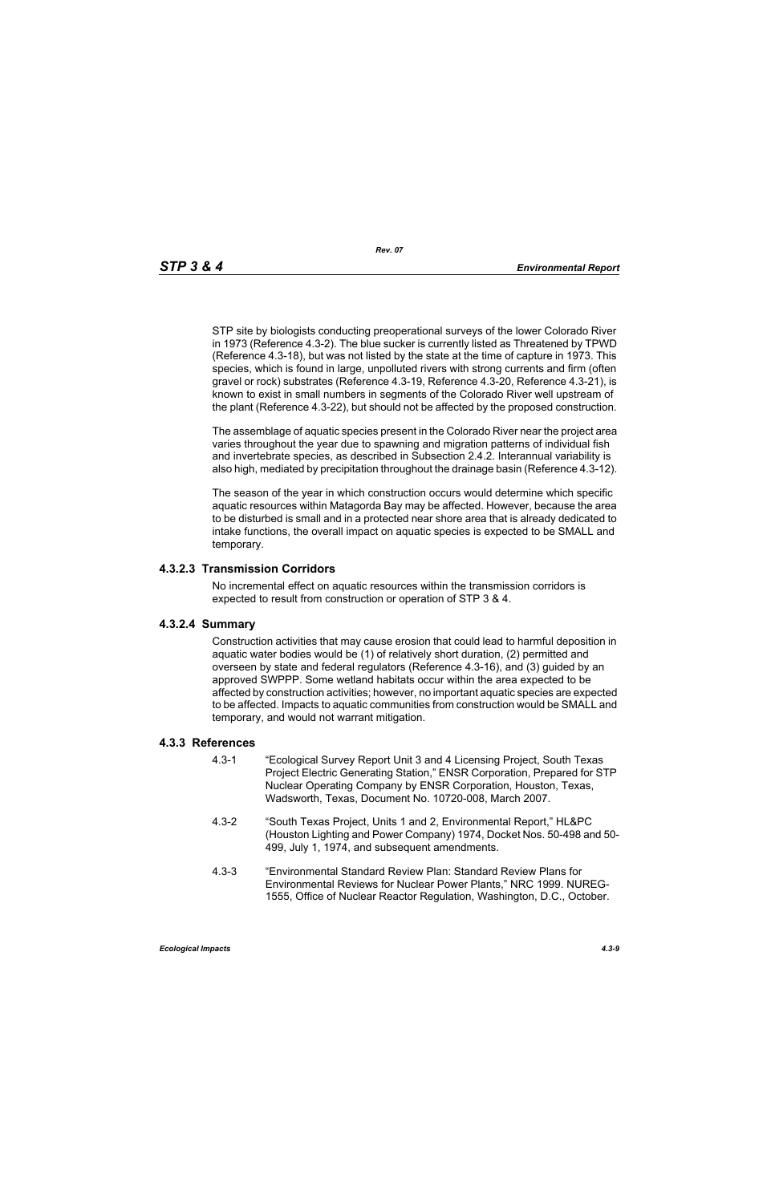STP site by biologists conducting preoperational surveys of the lower Colorado River in 1973 (Reference 4.3-2). The blue sucker is currently listed as Threatened by TPWD (Reference 4.3-18), but was not listed by the state at the time of capture in 1973. This species, which is found in large, unpolluted rivers with strong currents and firm (often gravel or rock) substrates (Reference 4.3-19, Reference 4.3-20, Reference 4.3-21), is known to exist in small numbers in segments of the Colorado River well upstream of the plant (Reference 4.3-22), but should not be affected by the proposed construction.

The assemblage of aquatic species present in the Colorado River near the project area varies throughout the year due to spawning and migration patterns of individual fish and invertebrate species, as described in Subsection 2.4.2. Interannual variability is also high, mediated by precipitation throughout the drainage basin (Reference 4.3-12).

The season of the year in which construction occurs would determine which specific aquatic resources within Matagorda Bay may be affected. However, because the area to be disturbed is small and in a protected near shore area that is already dedicated to intake functions, the overall impact on aquatic species is expected to be SMALL and temporary.

#### **4.3.2.3 Transmission Corridors**

No incremental effect on aquatic resources within the transmission corridors is expected to result from construction or operation of STP 3 & 4.

#### **4.3.2.4 Summary**

Construction activities that may cause erosion that could lead to harmful deposition in aquatic water bodies would be (1) of relatively short duration, (2) permitted and overseen by state and federal regulators (Reference 4.3-16), and (3) guided by an approved SWPPP. Some wetland habitats occur within the area expected to be affected by construction activities; however, no important aquatic species are expected to be affected. Impacts to aquatic communities from construction would be SMALL and temporary, and would not warrant mitigation.

#### **4.3.3 References**

- 4.3-1 "Ecological Survey Report Unit 3 and 4 Licensing Project, South Texas Project Electric Generating Station," ENSR Corporation, Prepared for STP Nuclear Operating Company by ENSR Corporation, Houston, Texas, Wadsworth, Texas, Document No. 10720-008, March 2007.
- 4.3-2 "South Texas Project, Units 1 and 2, Environmental Report," HL&PC (Houston Lighting and Power Company) 1974, Docket Nos. 50-498 and 50- 499, July 1, 1974, and subsequent amendments.
- 4.3-3 "Environmental Standard Review Plan: Standard Review Plans for Environmental Reviews for Nuclear Power Plants," NRC 1999. NUREG-1555, Office of Nuclear Reactor Regulation, Washington, D.C., October.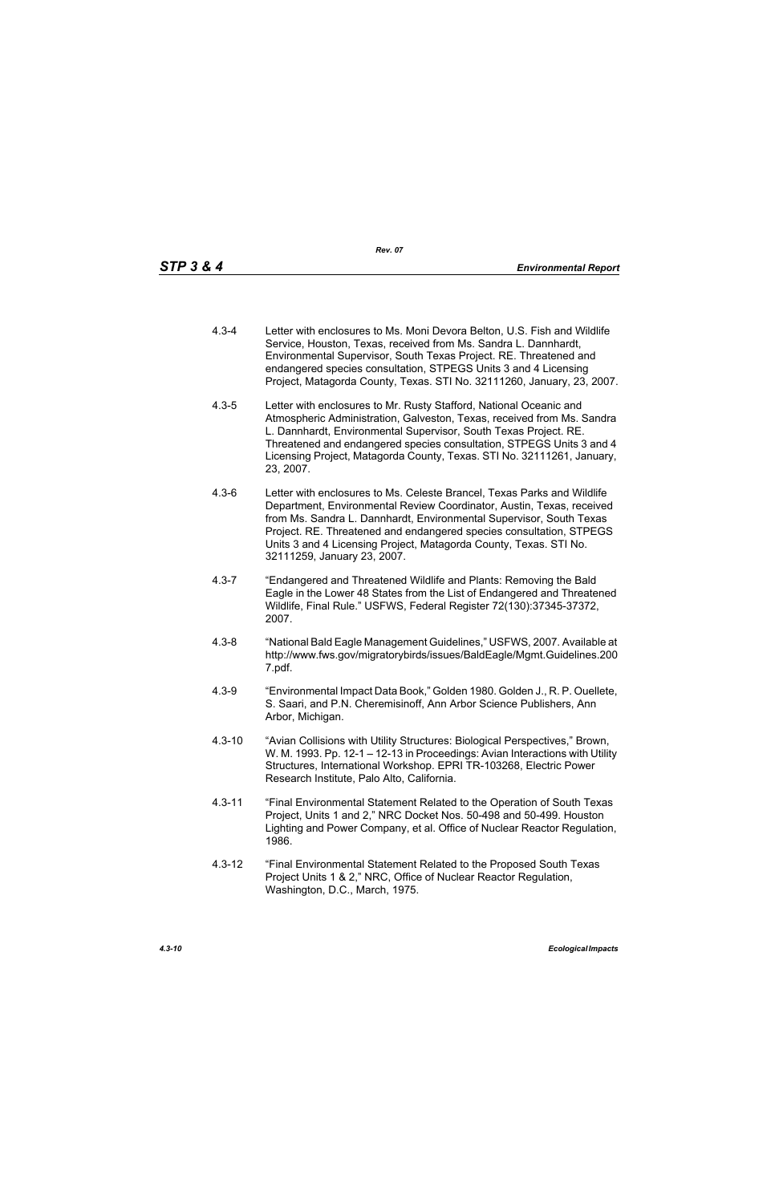- 4.3-4 Letter with enclosures to Ms. Moni Devora Belton, U.S. Fish and Wildlife Service, Houston, Texas, received from Ms. Sandra L. Dannhardt, Environmental Supervisor, South Texas Project. RE. Threatened and endangered species consultation, STPEGS Units 3 and 4 Licensing Project, Matagorda County, Texas. STI No. 32111260, January, 23, 2007.
- 4.3-5 Letter with enclosures to Mr. Rusty Stafford, National Oceanic and Atmospheric Administration, Galveston, Texas, received from Ms. Sandra L. Dannhardt, Environmental Supervisor, South Texas Project. RE. Threatened and endangered species consultation, STPEGS Units 3 and 4 Licensing Project, Matagorda County, Texas. STI No. 32111261, January, 23, 2007.
- 4.3-6 Letter with enclosures to Ms. Celeste Brancel, Texas Parks and Wildlife Department, Environmental Review Coordinator, Austin, Texas, received from Ms. Sandra L. Dannhardt, Environmental Supervisor, South Texas Project. RE. Threatened and endangered species consultation, STPEGS Units 3 and 4 Licensing Project, Matagorda County, Texas. STI No. 32111259, January 23, 2007.
- 4.3-7 "Endangered and Threatened Wildlife and Plants: Removing the Bald Eagle in the Lower 48 States from the List of Endangered and Threatened Wildlife, Final Rule." USFWS, Federal Register 72(130):37345-37372, 2007.
- 4.3-8 "National Bald Eagle Management Guidelines," USFWS, 2007. Available at http://www.fws.gov/migratorybirds/issues/BaldEagle/Mgmt.Guidelines.200 7.pdf.
- 4.3-9 "Environmental Impact Data Book," Golden 1980. Golden J., R. P. Ouellete, S. Saari, and P.N. Cheremisinoff, Ann Arbor Science Publishers, Ann Arbor, Michigan.
- 4.3-10 "Avian Collisions with Utility Structures: Biological Perspectives," Brown, W. M. 1993. Pp. 12-1 – 12-13 in Proceedings: Avian Interactions with Utility Structures, International Workshop. EPRI TR-103268, Electric Power Research Institute, Palo Alto, California.
- 4.3-11 "Final Environmental Statement Related to the Operation of South Texas Project, Units 1 and 2," NRC Docket Nos. 50-498 and 50-499. Houston Lighting and Power Company, et al. Office of Nuclear Reactor Regulation, 1986.
- 4.3-12 "Final Environmental Statement Related to the Proposed South Texas Project Units 1 & 2," NRC, Office of Nuclear Reactor Regulation, Washington, D.C., March, 1975.